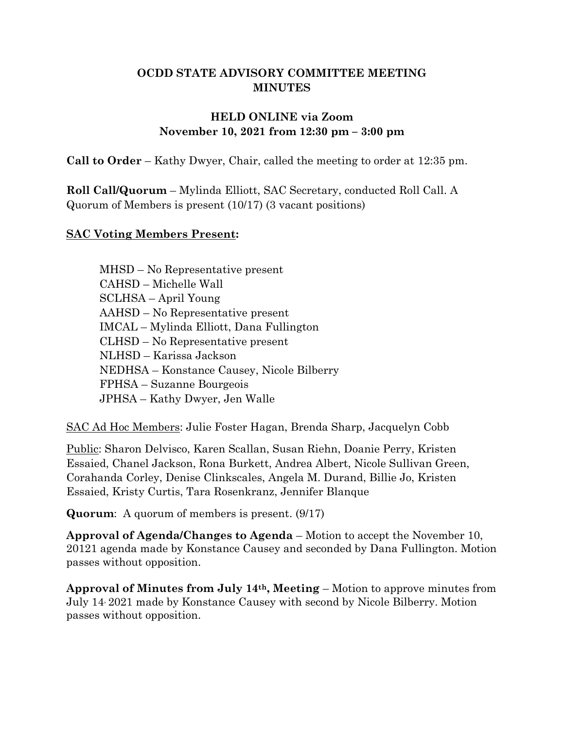### **OCDD STATE ADVISORY COMMITTEE MEETING MINUTES**

### **HELD ONLINE via Zoom November 10, 2021 from 12:30 pm – 3:00 pm**

**Call to Order** – Kathy Dwyer, Chair, called the meeting to order at 12:35 pm.

**Roll Call/Quorum** – Mylinda Elliott, SAC Secretary, conducted Roll Call. A Quorum of Members is present (10/17) (3 vacant positions)

#### **SAC Voting Members Present:**

MHSD – No Representative present CAHSD – Michelle Wall SCLHSA – April Young AAHSD – No Representative present IMCAL – Mylinda Elliott, Dana Fullington CLHSD – No Representative present NLHSD – Karissa Jackson NEDHSA – Konstance Causey, Nicole Bilberry FPHSA – Suzanne Bourgeois JPHSA – Kathy Dwyer, Jen Walle

SAC Ad Hoc Members: Julie Foster Hagan, Brenda Sharp, Jacquelyn Cobb

Public: Sharon Delvisco, Karen Scallan, Susan Riehn, Doanie Perry, Kristen Essaied, Chanel Jackson, Rona Burkett, Andrea Albert, Nicole Sullivan Green, Corahanda Corley, Denise Clinkscales, Angela M. Durand, Billie Jo, Kristen Essaied, Kristy Curtis, Tara Rosenkranz, Jennifer Blanque

**Quorum**: A quorum of members is present. (9/17)

**Approval of Agenda/Changes to Agenda** – Motion to accept the November 10, 20121 agenda made by Konstance Causey and seconded by Dana Fullington. Motion passes without opposition.

**Approval of Minutes from July 14th, Meeting** – Motion to approve minutes from July 14, 2021 made by Konstance Causey with second by Nicole Bilberry. Motion passes without opposition.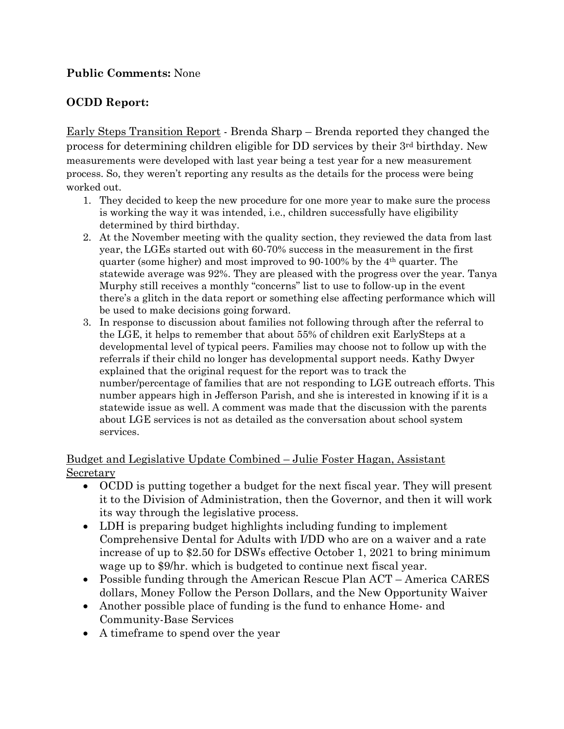### **Public Comments:** None

# **OCDD Report:**

Early Steps Transition Report - Brenda Sharp – Brenda reported they changed the process for determining children eligible for DD services by their 3rd birthday. New measurements were developed with last year being a test year for a new measurement process. So, they weren't reporting any results as the details for the process were being worked out.

- 1. They decided to keep the new procedure for one more year to make sure the process is working the way it was intended, i.e., children successfully have eligibility determined by third birthday.
- 2. At the November meeting with the quality section, they reviewed the data from last year, the LGEs started out with 60-70% success in the measurement in the first quarter (some higher) and most improved to  $90-100\%$  by the  $4<sup>th</sup>$  quarter. The statewide average was 92%. They are pleased with the progress over the year. Tanya Murphy still receives a monthly "concerns" list to use to follow-up in the event there's a glitch in the data report or something else affecting performance which will be used to make decisions going forward.
- 3. In response to discussion about families not following through after the referral to the LGE, it helps to remember that about 55% of children exit EarlySteps at a developmental level of typical peers. Families may choose not to follow up with the referrals if their child no longer has developmental support needs. Kathy Dwyer explained that the original request for the report was to track the number/percentage of families that are not responding to LGE outreach efforts. This number appears high in Jefferson Parish, and she is interested in knowing if it is a statewide issue as well. A comment was made that the discussion with the parents about LGE services is not as detailed as the conversation about school system services.

#### Budget and Legislative Update Combined – Julie Foster Hagan, Assistant Secretary

- OCDD is putting together a budget for the next fiscal year. They will present it to the Division of Administration, then the Governor, and then it will work its way through the legislative process.
- LDH is preparing budget highlights including funding to implement Comprehensive Dental for Adults with I/DD who are on a waiver and a rate increase of up to \$2.50 for DSWs effective October 1, 2021 to bring minimum wage up to \$9/hr. which is budgeted to continue next fiscal year.
- Possible funding through the American Rescue Plan ACT America CARES dollars, Money Follow the Person Dollars, and the New Opportunity Waiver
- Another possible place of funding is the fund to enhance Home- and Community-Base Services
- A timeframe to spend over the year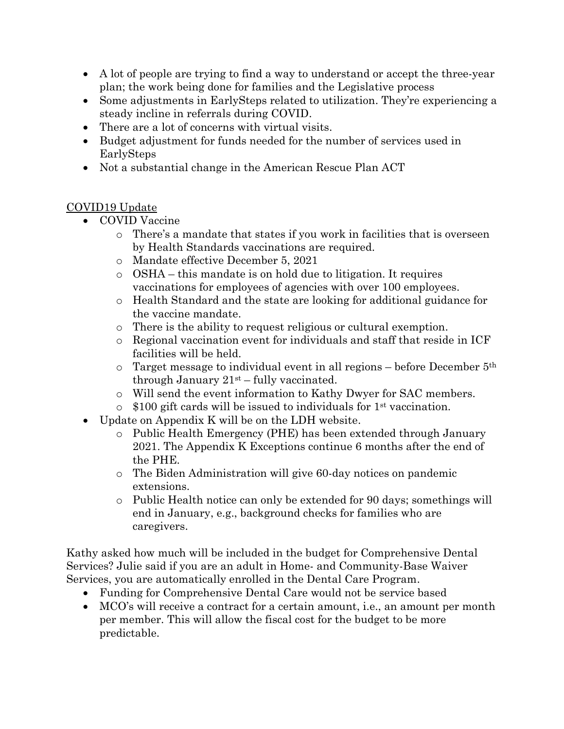- A lot of people are trying to find a way to understand or accept the three-year plan; the work being done for families and the Legislative process
- Some adjustments in EarlySteps related to utilization. They're experiencing a steady incline in referrals during COVID.
- There are a lot of concerns with virtual visits.
- Budget adjustment for funds needed for the number of services used in EarlySteps
- Not a substantial change in the American Rescue Plan ACT

### COVID19 Update

- COVID Vaccine
	- o There's a mandate that states if you work in facilities that is overseen by Health Standards vaccinations are required.
	- o Mandate effective December 5, 2021
	- o OSHA this mandate is on hold due to litigation. It requires vaccinations for employees of agencies with over 100 employees.
	- o Health Standard and the state are looking for additional guidance for the vaccine mandate.
	- o There is the ability to request religious or cultural exemption.
	- $\circ$  Regional vaccination event for individuals and staff that reside in ICF facilities will be held.
	- $\circ$  Target message to individual event in all regions before December  $5<sup>th</sup>$ through January  $21<sup>st</sup>$  – fully vaccinated.
	- o Will send the event information to Kathy Dwyer for SAC members.
	- $\circ$  \$100 gift cards will be issued to individuals for 1<sup>st</sup> vaccination.
- Update on Appendix K will be on the LDH website.
	- o Public Health Emergency (PHE) has been extended through January 2021. The Appendix K Exceptions continue 6 months after the end of the PHE.
	- o The Biden Administration will give 60-day notices on pandemic extensions.
	- o Public Health notice can only be extended for 90 days; somethings will end in January, e.g., background checks for families who are caregivers.

Kathy asked how much will be included in the budget for Comprehensive Dental Services? Julie said if you are an adult in Home- and Community-Base Waiver Services, you are automatically enrolled in the Dental Care Program.

- Funding for Comprehensive Dental Care would not be service based
- MCO's will receive a contract for a certain amount, i.e., an amount per month per member. This will allow the fiscal cost for the budget to be more predictable.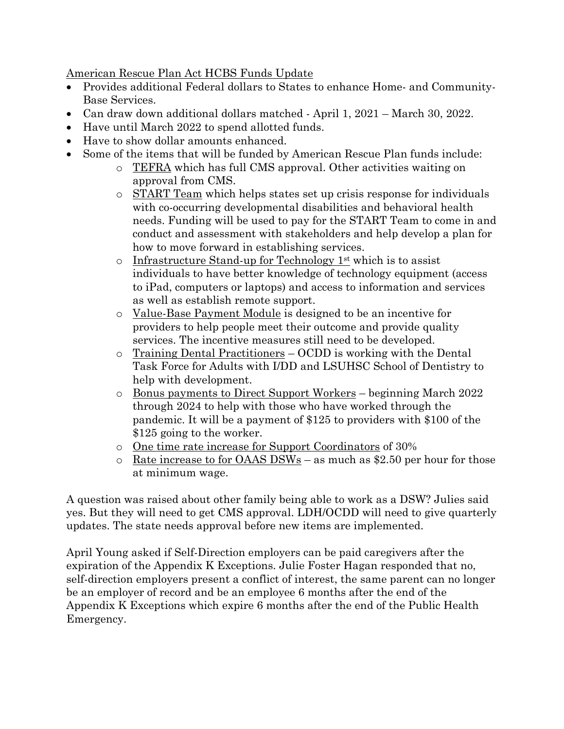American Rescue Plan Act HCBS Funds Update

- Provides additional Federal dollars to States to enhance Home- and Community-Base Services.
- Can draw down additional dollars matched April 1, 2021 March 30, 2022.
- Have until March 2022 to spend allotted funds.
- Have to show dollar amounts enhanced.
- Some of the items that will be funded by American Rescue Plan funds include:
	- o TEFRA which has full CMS approval. Other activities waiting on approval from CMS.
	- o START Team which helps states set up crisis response for individuals with co-occurring developmental disabilities and behavioral health needs. Funding will be used to pay for the START Team to come in and conduct and assessment with stakeholders and help develop a plan for how to move forward in establishing services.
	- $\circ$  Infrastructure Stand-up for Technology 1<sup>st</sup> which is to assist individuals to have better knowledge of technology equipment (access to iPad, computers or laptops) and access to information and services as well as establish remote support.
	- o Value-Base Payment Module is designed to be an incentive for providers to help people meet their outcome and provide quality services. The incentive measures still need to be developed.
	- o Training Dental Practitioners OCDD is working with the Dental Task Force for Adults with I/DD and LSUHSC School of Dentistry to help with development.
	- o Bonus payments to Direct Support Workers beginning March 2022 through 2024 to help with those who have worked through the pandemic. It will be a payment of \$125 to providers with \$100 of the \$125 going to the worker.
	- o One time rate increase for Support Coordinators of 30%
	- $\circ$  Rate increase to for OAAS DSWs as much as \$2.50 per hour for those at minimum wage.

A question was raised about other family being able to work as a DSW? Julies said yes. But they will need to get CMS approval. LDH/OCDD will need to give quarterly updates. The state needs approval before new items are implemented.

April Young asked if Self-Direction employers can be paid caregivers after the expiration of the Appendix K Exceptions. Julie Foster Hagan responded that no, self-direction employers present a conflict of interest, the same parent can no longer be an employer of record and be an employee 6 months after the end of the Appendix K Exceptions which expire 6 months after the end of the Public Health Emergency.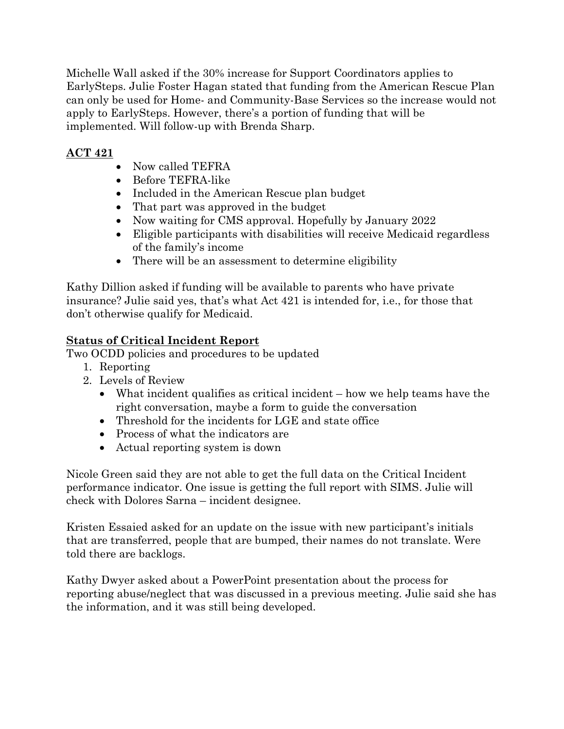Michelle Wall asked if the 30% increase for Support Coordinators applies to EarlySteps. Julie Foster Hagan stated that funding from the American Rescue Plan can only be used for Home- and Community-Base Services so the increase would not apply to EarlySteps. However, there's a portion of funding that will be implemented. Will follow-up with Brenda Sharp.

# **ACT 421**

- Now called TEFRA
- Before TEFRA-like
- Included in the American Rescue plan budget
- That part was approved in the budget
- Now waiting for CMS approval. Hopefully by January 2022
- Eligible participants with disabilities will receive Medicaid regardless of the family's income
- There will be an assessment to determine eligibility

Kathy Dillion asked if funding will be available to parents who have private insurance? Julie said yes, that's what Act 421 is intended for, i.e., for those that don't otherwise qualify for Medicaid.

# **Status of Critical Incident Report**

Two OCDD policies and procedures to be updated

- 1. Reporting
- 2. Levels of Review
	- What incident qualifies as critical incident how we help teams have the right conversation, maybe a form to guide the conversation
	- Threshold for the incidents for LGE and state office
	- Process of what the indicators are
	- Actual reporting system is down

Nicole Green said they are not able to get the full data on the Critical Incident performance indicator. One issue is getting the full report with SIMS. Julie will check with Dolores Sarna – incident designee.

Kristen Essaied asked for an update on the issue with new participant's initials that are transferred, people that are bumped, their names do not translate. Were told there are backlogs.

Kathy Dwyer asked about a PowerPoint presentation about the process for reporting abuse/neglect that was discussed in a previous meeting. Julie said she has the information, and it was still being developed.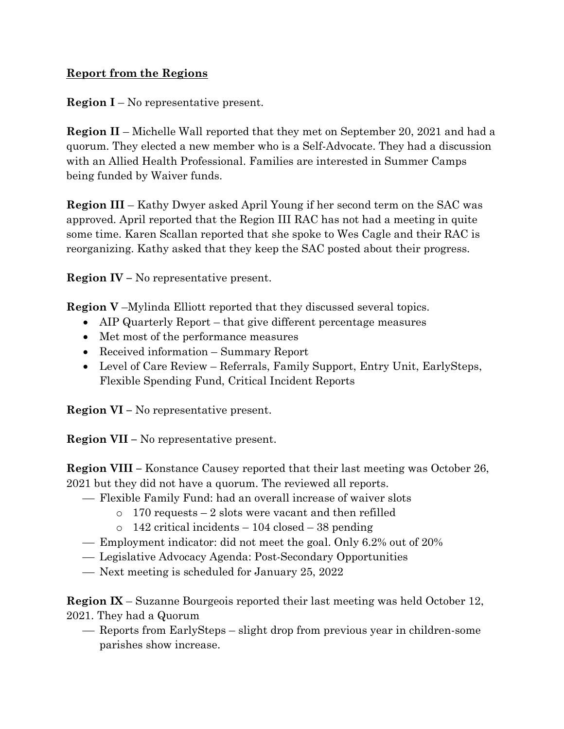### **Report from the Regions**

**Region I** – No representative present.

**Region II** – Michelle Wall reported that they met on September 20, 2021 and had a quorum. They elected a new member who is a Self-Advocate. They had a discussion with an Allied Health Professional. Families are interested in Summer Camps being funded by Waiver funds.

**Region III** – Kathy Dwyer asked April Young if her second term on the SAC was approved. April reported that the Region III RAC has not had a meeting in quite some time. Karen Scallan reported that she spoke to Wes Cagle and their RAC is reorganizing. Kathy asked that they keep the SAC posted about their progress.

**Region IV –** No representative present.

**Region V** –Mylinda Elliott reported that they discussed several topics.

- AIP Quarterly Report that give different percentage measures
- Met most of the performance measures
- Received information Summary Report
- Level of Care Review Referrals, Family Support, Entry Unit, EarlySteps, Flexible Spending Fund, Critical Incident Reports

**Region VI –** No representative present.

**Region VII –** No representative present.

**Region VIII –** Konstance Causey reported that their last meeting was October 26, 2021 but they did not have a quorum. The reviewed all reports.

- Flexible Family Fund: had an overall increase of waiver slots
	- $\circ$  170 requests 2 slots were vacant and then refilled
	- $\circ$  142 critical incidents 104 closed 38 pending
- Employment indicator: did not meet the goal. Only 6.2% out of 20%
- Legislative Advocacy Agenda: Post-Secondary Opportunities
- Next meeting is scheduled for January 25, 2022

**Region IX** – Suzanne Bourgeois reported their last meeting was held October 12, 2021. They had a Quorum

 Reports from EarlySteps – slight drop from previous year in children-some parishes show increase.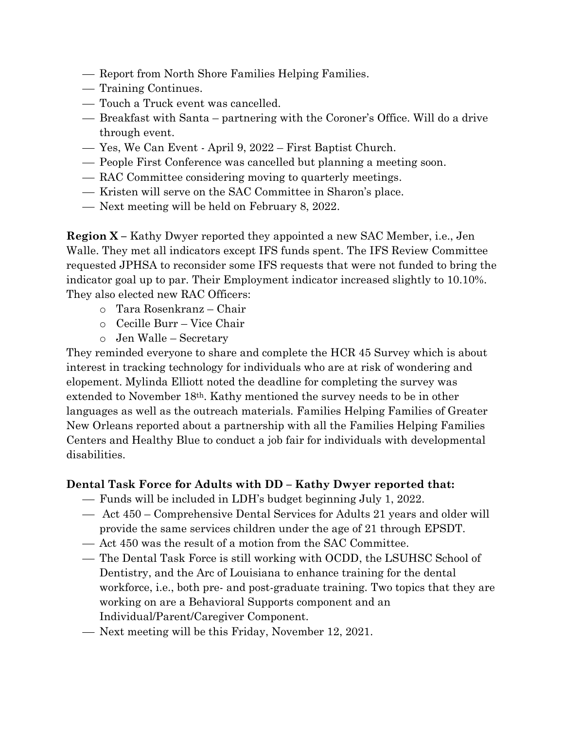- Report from North Shore Families Helping Families.
- Training Continues.
- Touch a Truck event was cancelled.
- Breakfast with Santa partnering with the Coroner's Office. Will do a drive through event.
- Yes, We Can Event April 9, 2022 First Baptist Church.
- People First Conference was cancelled but planning a meeting soon.
- RAC Committee considering moving to quarterly meetings.
- Kristen will serve on the SAC Committee in Sharon's place.
- Next meeting will be held on February 8, 2022.

**Region X –** Kathy Dwyer reported they appointed a new SAC Member, i.e., Jen Walle. They met all indicators except IFS funds spent. The IFS Review Committee requested JPHSA to reconsider some IFS requests that were not funded to bring the indicator goal up to par. Their Employment indicator increased slightly to 10.10%. They also elected new RAC Officers:

- o Tara Rosenkranz Chair
- o Cecille Burr Vice Chair
- o Jen Walle Secretary

They reminded everyone to share and complete the HCR 45 Survey which is about interest in tracking technology for individuals who are at risk of wondering and elopement. Mylinda Elliott noted the deadline for completing the survey was extended to November 18th. Kathy mentioned the survey needs to be in other languages as well as the outreach materials. Families Helping Families of Greater New Orleans reported about a partnership with all the Families Helping Families Centers and Healthy Blue to conduct a job fair for individuals with developmental disabilities.

## **Dental Task Force for Adults with DD – Kathy Dwyer reported that:**

- Funds will be included in LDH's budget beginning July 1, 2022.
- Act 450 Comprehensive Dental Services for Adults 21 years and older will provide the same services children under the age of 21 through EPSDT.
- Act 450 was the result of a motion from the SAC Committee.
- The Dental Task Force is still working with OCDD, the LSUHSC School of Dentistry, and the Arc of Louisiana to enhance training for the dental workforce, i.e., both pre- and post-graduate training. Two topics that they are working on are a Behavioral Supports component and an Individual/Parent/Caregiver Component.
- Next meeting will be this Friday, November 12, 2021.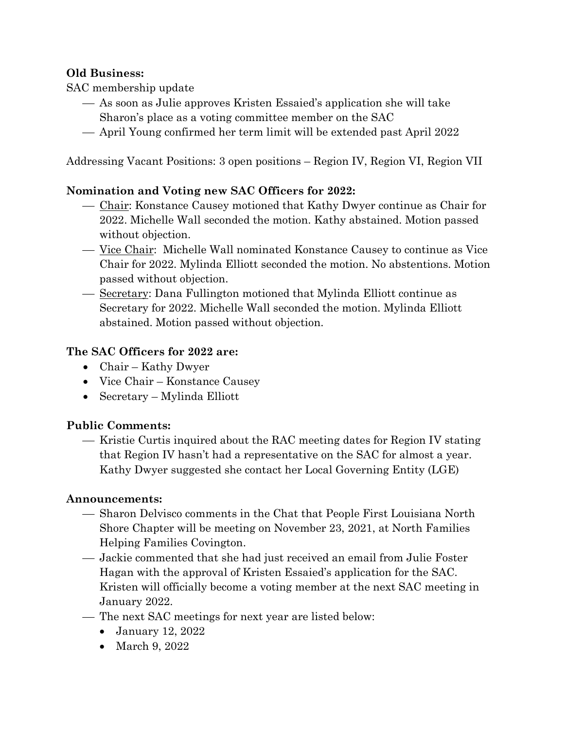### **Old Business:**

SAC membership update

- As soon as Julie approves Kristen Essaied's application she will take
- Sharon's place as a voting committee member on the SAC
- April Young confirmed her term limit will be extended past April 2022

Addressing Vacant Positions: 3 open positions – Region IV, Region VI, Region VII

### **Nomination and Voting new SAC Officers for 2022:**

- Chair: Konstance Causey motioned that Kathy Dwyer continue as Chair for 2022. Michelle Wall seconded the motion. Kathy abstained. Motion passed without objection.
- Vice Chair: Michelle Wall nominated Konstance Causey to continue as Vice Chair for 2022. Mylinda Elliott seconded the motion. No abstentions. Motion passed without objection.
- Secretary: Dana Fullington motioned that Mylinda Elliott continue as Secretary for 2022. Michelle Wall seconded the motion. Mylinda Elliott abstained. Motion passed without objection.

### **The SAC Officers for 2022 are:**

- Chair Kathy Dwyer
- Vice Chair Konstance Causey
- Secretary Mylinda Elliott

#### **Public Comments:**

— Kristie Curtis inquired about the RAC meeting dates for Region IV stating that Region IV hasn't had a representative on the SAC for almost a year. Kathy Dwyer suggested she contact her Local Governing Entity (LGE)

#### **Announcements:**

- Sharon Delvisco comments in the Chat that People First Louisiana North Shore Chapter will be meeting on November 23, 2021, at North Families Helping Families Covington.
- Jackie commented that she had just received an email from Julie Foster Hagan with the approval of Kristen Essaied's application for the SAC. Kristen will officially become a voting member at the next SAC meeting in January 2022.
- The next SAC meetings for next year are listed below:
	- January 12, 2022
	- March 9, 2022